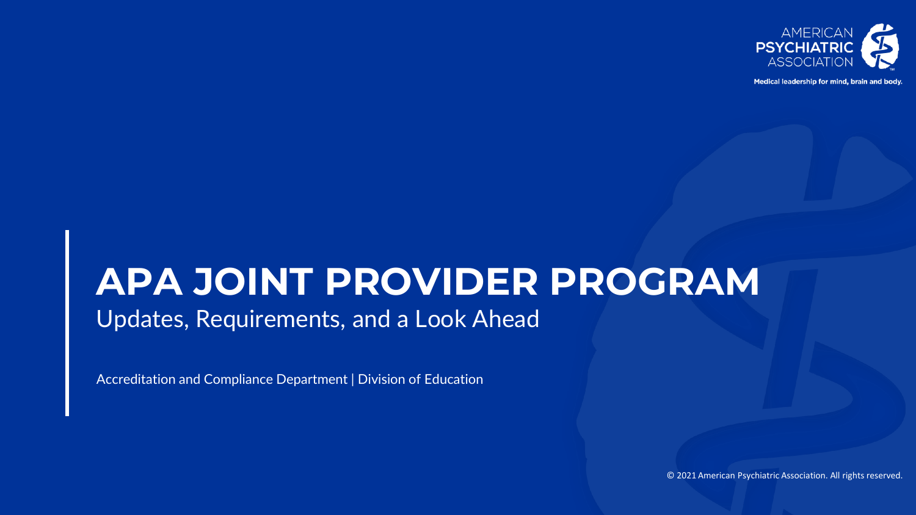

## **APA JOINT PROVIDER PROGRAM** Updates, Requirements, and a Look Ahead

Accreditation and Compliance Department | Division of Education

© 2021 American Psychiatric Association. All rights reserved.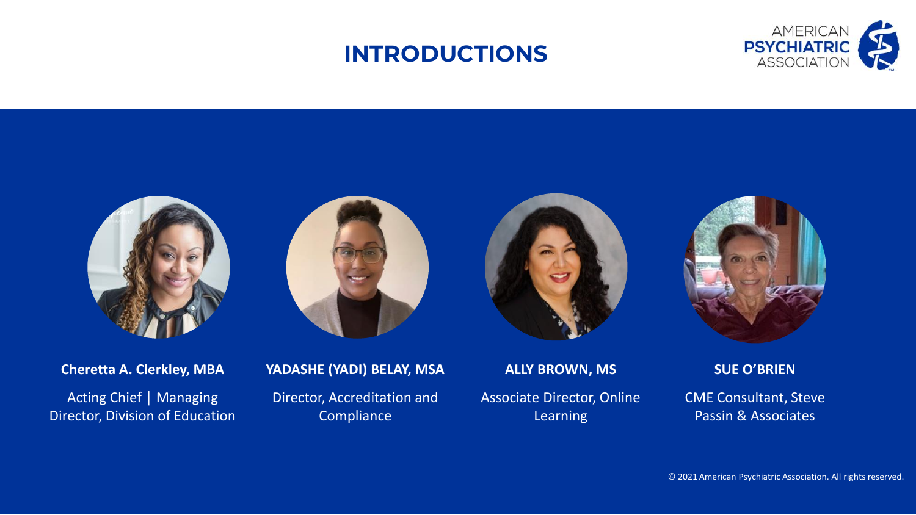

### **INTRODUCTIONS**









**Cheretta A. Clerkley, MBA** Acting Chief │ Managing Director, Division of Education **YADASHE (YADI) BELAY, MSA** Director, Accreditation and **Compliance** 

**ALLY BROWN, MS** Associate Director, Online Learning

**SUE O'BRIEN**

CME Consultant, Steve Passin & Associates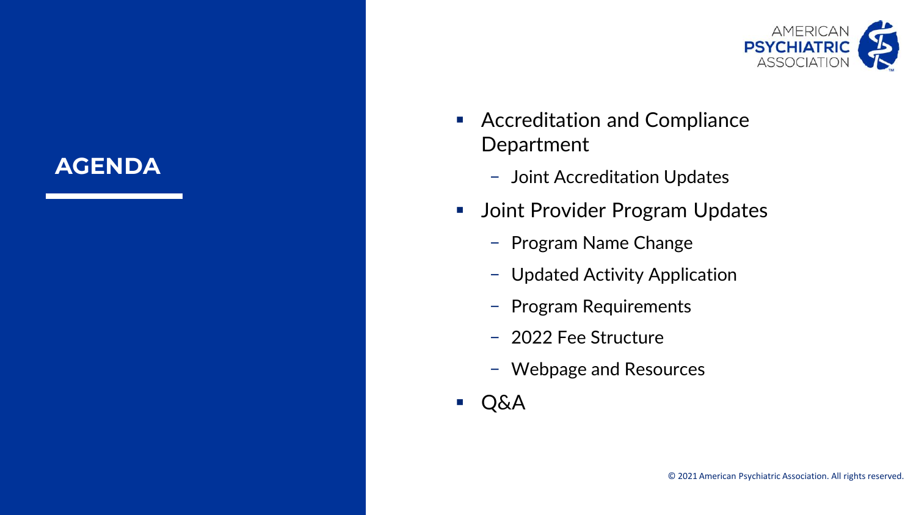## AMERICAN<br>PSYCHIATRIC **ASSOCIA**

- Accreditation and Compliance Department
	- − Joint Accreditation Updates
- Joint Provider Program Updates
	- − Program Name Change
	- − Updated Activity Application
	- − Program Requirements
	- − 2022 Fee Structure
	- − Webpage and Resources
- Q&A

## **AGENDA**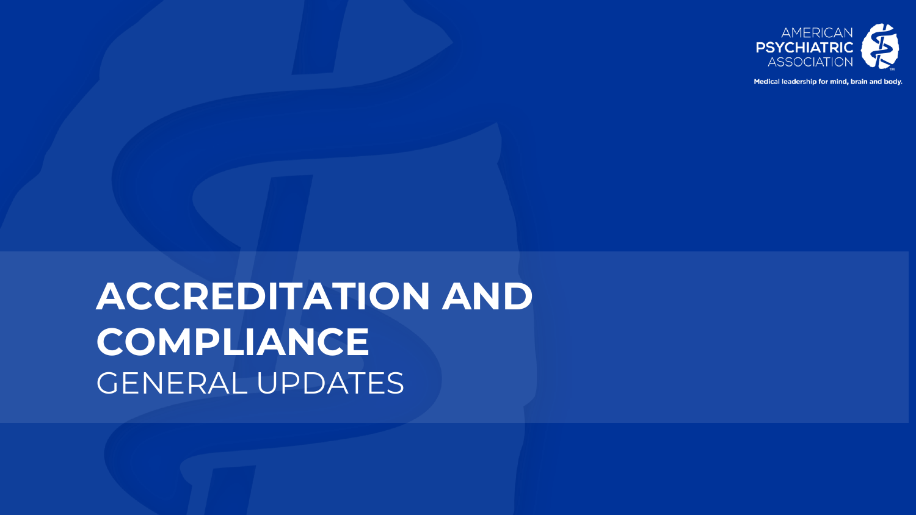

# **ACCREDITATION AND COMPLIANCE** GENERAL UPDATES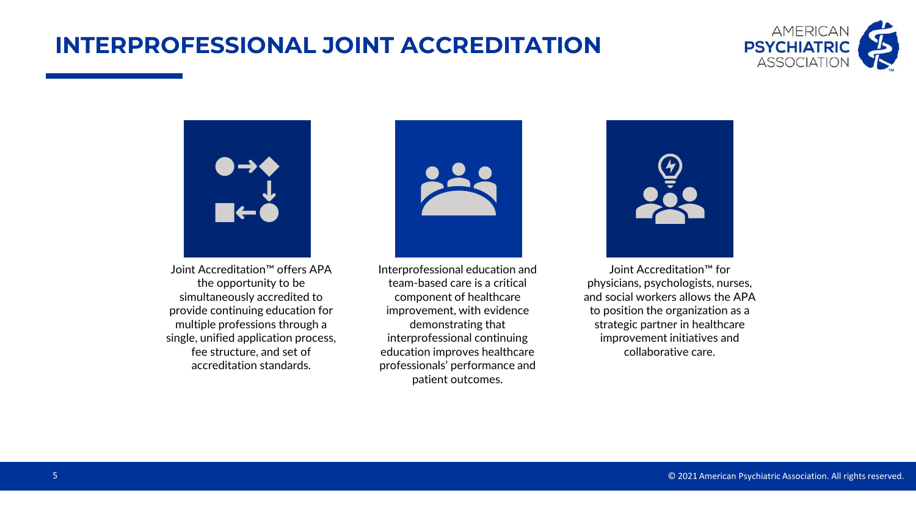## **INTERPROFESSIONAL JOINT ACCREDITATION**





Joint Accreditation™ offers APA the opportunity to be simultaneously accredited to provide continuing education for multiple professions through a single, unified application process, fee structure, and set of accreditation standards.



Interprofessional education and team-based care is a critical component of healthcare improvement, with evidence demonstrating that interprofessional continuing education improves healthcare professionals' performance and patient outcomes.



Joint Accreditation™ for physicians, psychologists, nurses, and social workers allows the APA to position the organization as a strategic partner in healthcare improvement initiatives and collaborative care.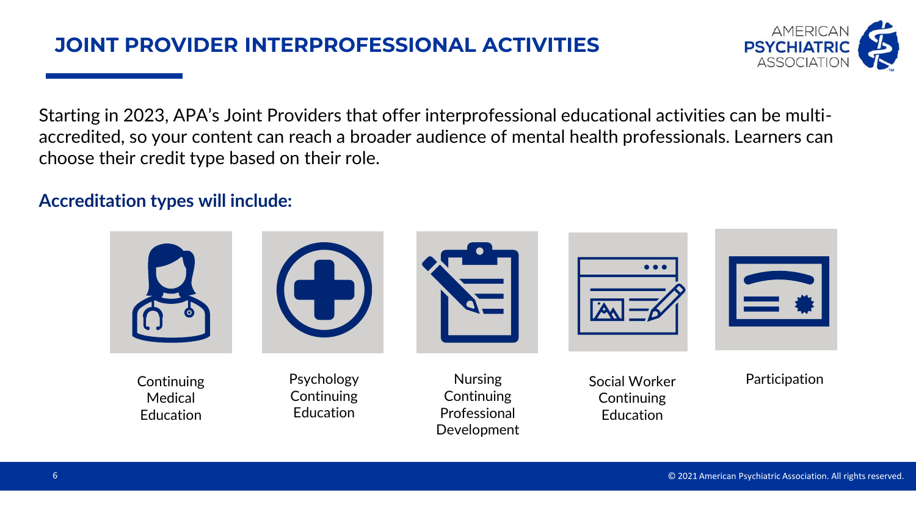### **JOINT PROVIDER INTERPROFESSIONAL ACTIVITIES**

Starting in 2023, APA's Joint Providers that offer interprofessional educational activities can be multiaccredited, so your content can reach a broader audience of mental health professionals. Learners can choose their credit type based on their role.

### **Accreditation types will include:**

Psychology Continuing Education **Continuing** Medical Education Nursing **Continuing** Professional Development Social Worker Continuing **Education** 

Participation



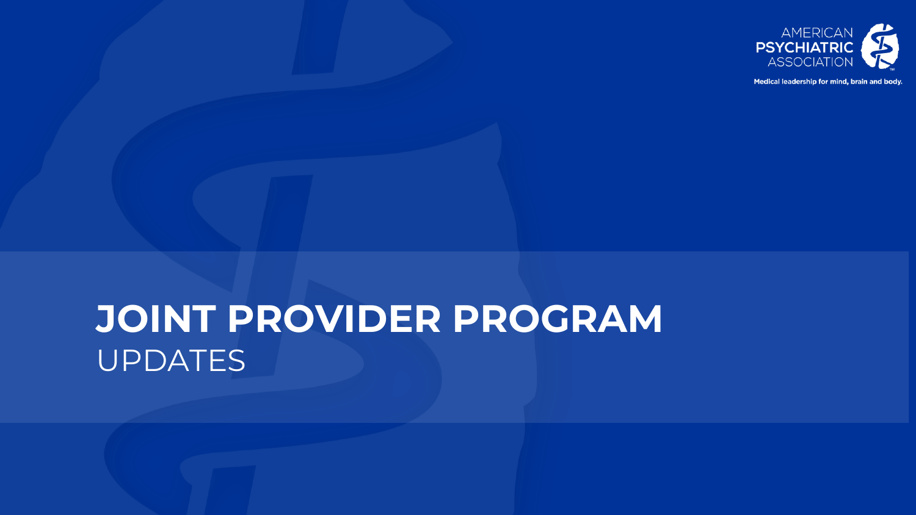

## **JOINT PROVIDER PROGRAM UPDATES**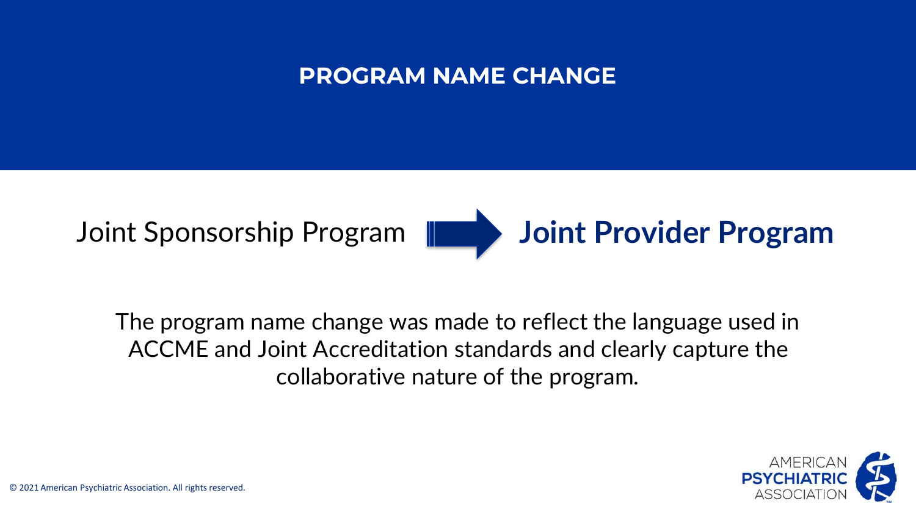## **PROGRAM NAME CHANGE**



The program name change was made to reflect the language used in ACCME and Joint Accreditation standards and clearly capture the collaborative nature of the program.

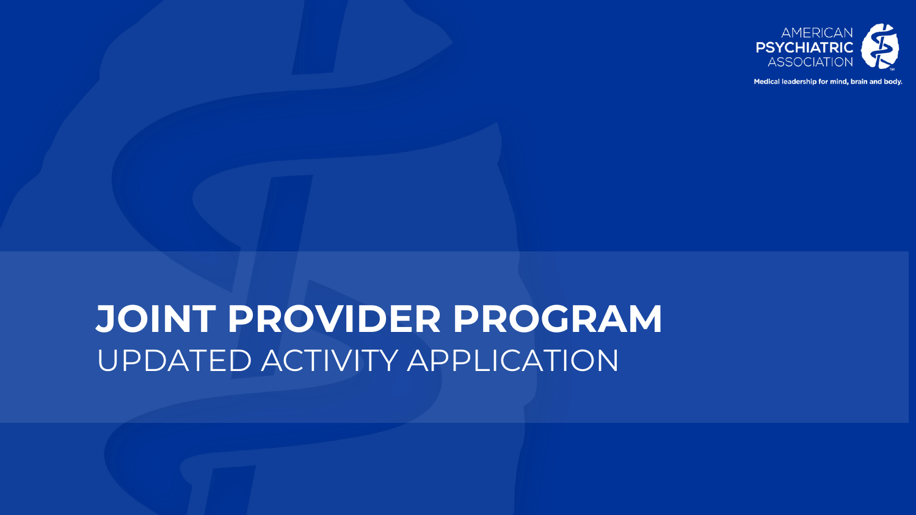

## **JOINT PROVIDER PROGRAM** UPDATED ACTIVITY APPLICATION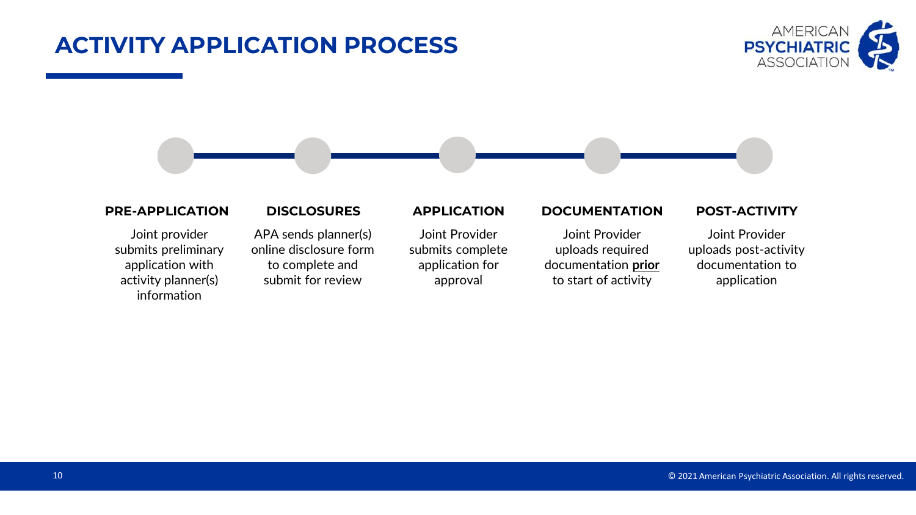### **ACTIVITY APPLICATION PROCESS**



### **PRE-APPLICATION DISCLOSURES APPLICATION DOCUMENTATION POST-ACTIVITY**

Joint provider submits preliminary application with activity planner(s) information

APA sends planner(s) online disclosure form to complete and submit for review

Joint Provider submits complete application for approval

Joint Provider uploads required documentation **prior** to start of activity

Joint Provider uploads post-activity documentation to application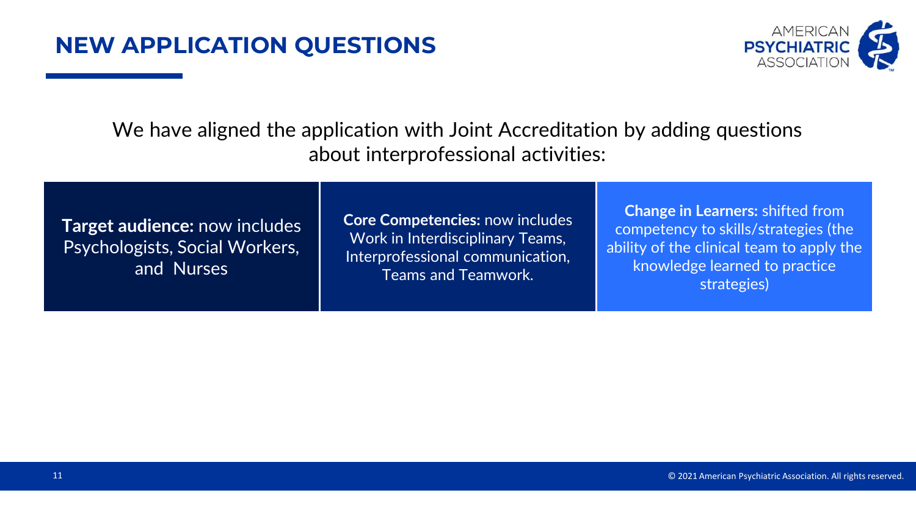

We have aligned the application with Joint Accreditation by adding questions about interprofessional activities:

**Target audience:** now includes Psychologists, Social Workers, and Nurses

**Core Competencies:** now includes Work in Interdisciplinary Teams, Interprofessional communication, Teams and Teamwork.

**Change in Learners:** shifted from competency to skills/strategies (the ability of the clinical team to apply the knowledge learned to practice strategies)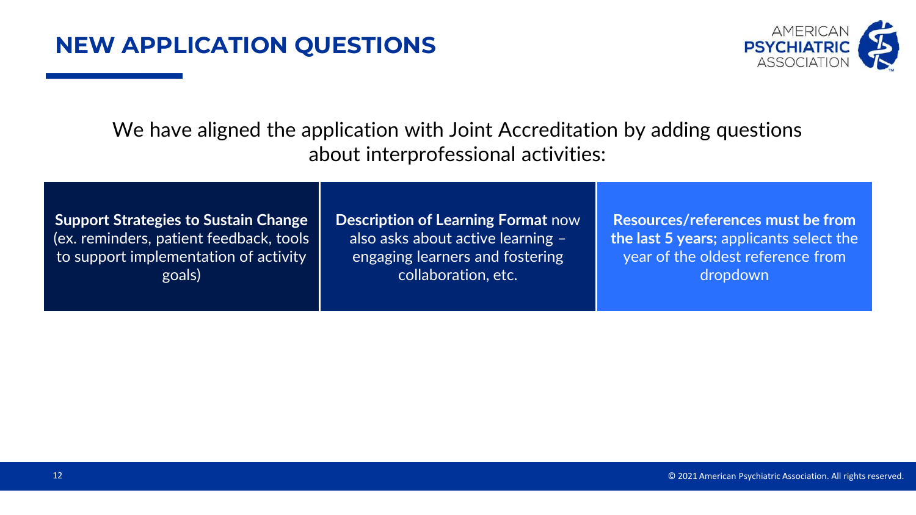

We have aligned the application with Joint Accreditation by adding questions about interprofessional activities:

**Support Strategies to Sustain Change**  (ex. reminders, patient feedback, tools to support implementation of activity goals)

**Description of Learning Format** now also asks about active learning – engaging learners and fostering collaboration, etc.

**Resources/references must be from the last 5 years;** applicants select the year of the oldest reference from dropdown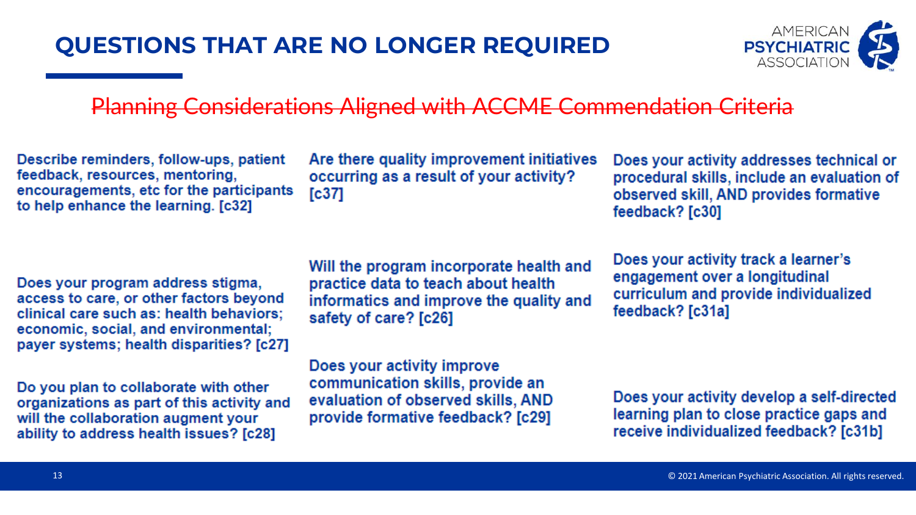## **QUESTIONS THAT ARE NO LONGER REQUIRED**



### Planning Considerations Aligned with ACCME Commendation Criteria

Describe reminders, follow-ups, patient feedback, resources, mentoring, encouragements, etc for the participants to help enhance the learning. [c32]

Are there quality improvement initiatives occurring as a result of your activity? **Tc371** 

Does your activity addresses technical or procedural skills, include an evaluation of observed skill, AND provides formative feedback? [c30]

Does your program address stigma. access to care, or other factors beyond clinical care such as: health behaviors: economic, social, and environmental; payer systems; health disparities? [c27]

Do you plan to collaborate with other organizations as part of this activity and will the collaboration augment your ability to address health issues? [c28]

Will the program incorporate health and practice data to teach about health informatics and improve the quality and safety of care? [c26]

Does your activity improve communication skills, provide an evaluation of observed skills, AND provide formative feedback? [c29]

Does your activity track a learner's engagement over a longitudinal curriculum and provide individualized feedback? [c31a]

Does your activity develop a self-directed learning plan to close practice gaps and receive individualized feedback? [c31b]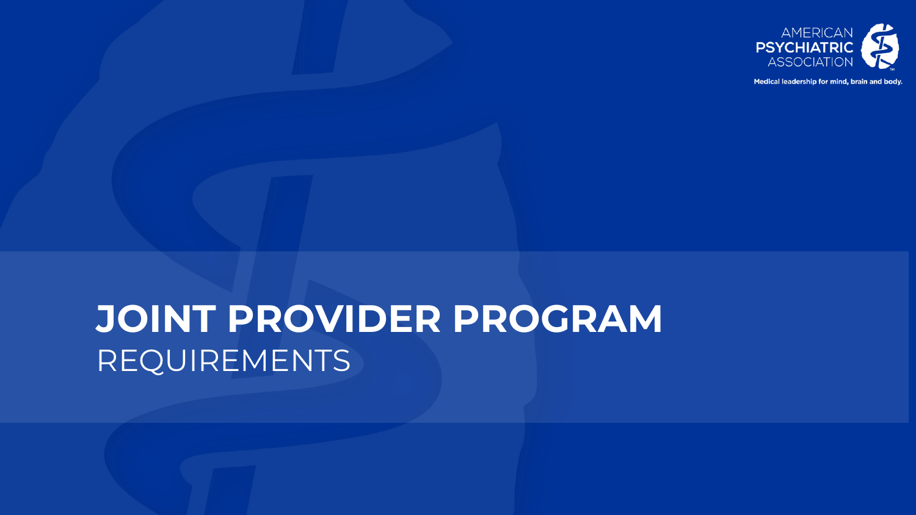

# **JOINT PROVIDER PROGRAM** REQUIREMENTS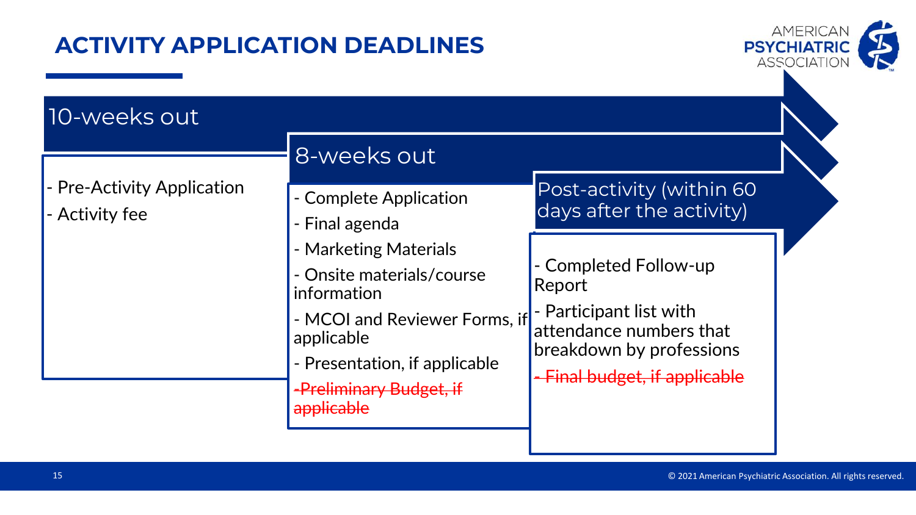## **ACTIVITY APPLICATION DEADLINES**



| 10-weeks out                                 |                                                                                                                                                                                            |                                                                                                                                                    |  |
|----------------------------------------------|--------------------------------------------------------------------------------------------------------------------------------------------------------------------------------------------|----------------------------------------------------------------------------------------------------------------------------------------------------|--|
| - Pre-Activity Application<br>- Activity fee | 8-weeks out                                                                                                                                                                                |                                                                                                                                                    |  |
|                                              | - Complete Application<br>- Final agenda                                                                                                                                                   | Post-activity (within 60<br>days after the activity)                                                                                               |  |
|                                              | - Marketing Materials<br>- Onsite materials/course<br>information<br>- MCOI and Reviewer Forms, if<br>applicable<br>- Presentation, if applicable<br>-Preliminary Budget, if<br>applicable | - Completed Follow-up<br>Report<br>- Participant list with<br>attendance numbers that<br>breakdown by professions<br>- Final budget, if applicable |  |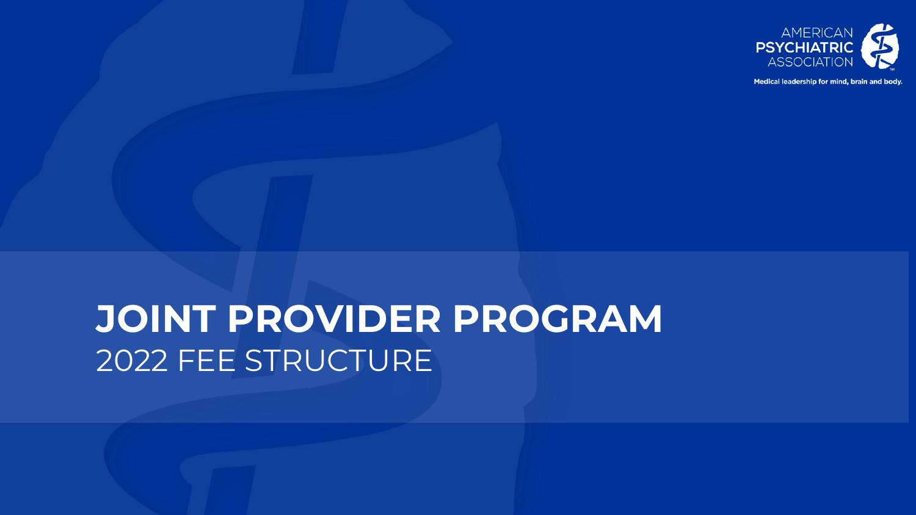

# **JOINT PROVIDER PROGRAM** 2022 FEE STRUCTURE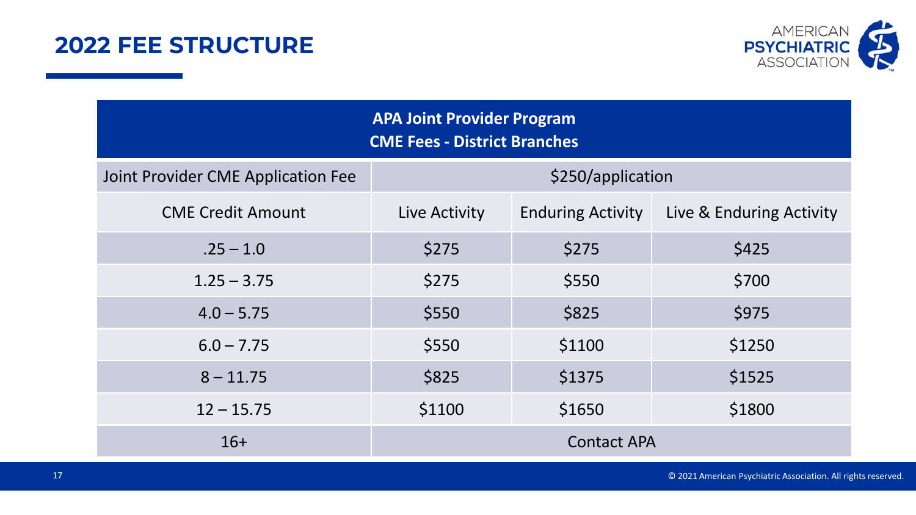### **2022 FEE STRUCTURE**



| <b>APA Joint Provider Program</b><br><b>CME Fees - District Branches</b> |                    |                          |                          |  |  |  |
|--------------------------------------------------------------------------|--------------------|--------------------------|--------------------------|--|--|--|
| Joint Provider CME Application Fee                                       | \$250/application  |                          |                          |  |  |  |
| <b>CME Credit Amount</b>                                                 | Live Activity      | <b>Enduring Activity</b> | Live & Enduring Activity |  |  |  |
| $.25 - 1.0$                                                              | \$275              | \$275                    | \$425                    |  |  |  |
| $1.25 - 3.75$                                                            | \$275              | \$550                    | \$700                    |  |  |  |
| $4.0 - 5.75$                                                             | \$550              | \$825                    | \$975                    |  |  |  |
| $6.0 - 7.75$                                                             | \$550              | \$1100                   | \$1250                   |  |  |  |
| $8 - 11.75$                                                              | \$825              | \$1375                   | \$1525                   |  |  |  |
| $12 - 15.75$                                                             | \$1100             | \$1650                   | \$1800                   |  |  |  |
| $16+$                                                                    | <b>Contact APA</b> |                          |                          |  |  |  |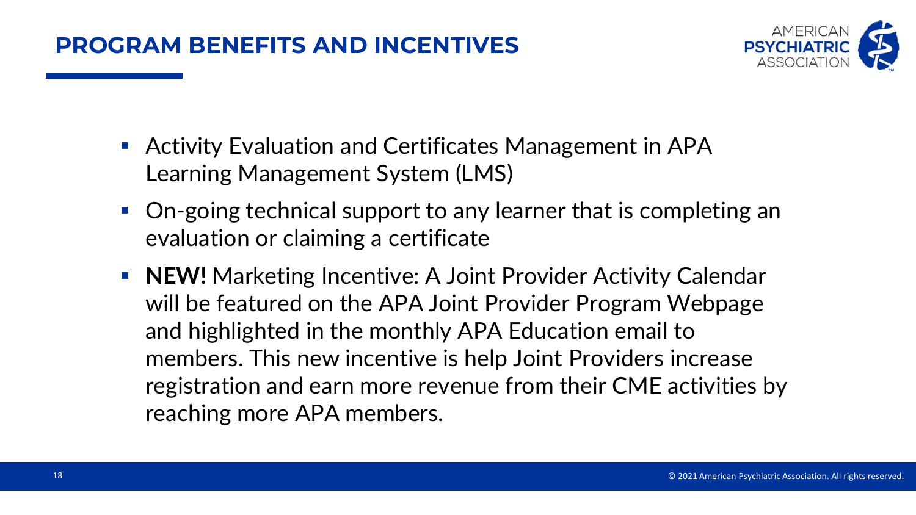

- Activity Evaluation and Certificates Management in APA Learning Management System (LMS)
- On-going technical support to any learner that is completing an evaluation or claiming a certificate
- **NEW!** Marketing Incentive: A Joint Provider Activity Calendar will be featured on the APA Joint Provider Program Webpage and highlighted in the monthly APA Education email to members. This new incentive is help Joint Providers increase registration and earn more revenue from their CME activities by reaching more APA members.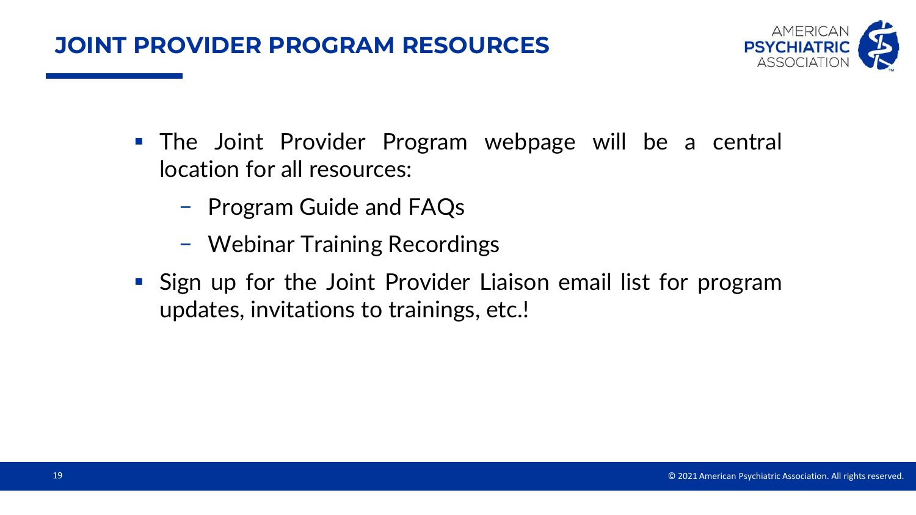

- The Joint Provider Program webpage will be a central location for all resources:
	- − Program Guide and FAQs
	- − Webinar Training Recordings
- Sign up for the Joint Provider Liaison email list for program updates, invitations to trainings, etc.!